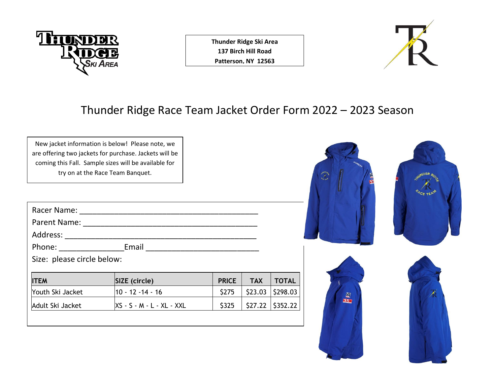

**Thunder Ridge Ski Area 137 Birch Hill Road Patterson, NY 12563**



## Thunder Ridge Race Team Jacket Order Form 2022 – 2023 Season

| New jacket information is below! Please note, we<br>are offering two jackets for purchase. Jackets will be<br>coming this Fall. Sample sizes will be available for<br>try on at the Race Team Banquet. |                                                                                                                 |              |            |                    |   |  |
|--------------------------------------------------------------------------------------------------------------------------------------------------------------------------------------------------------|-----------------------------------------------------------------------------------------------------------------|--------------|------------|--------------------|---|--|
|                                                                                                                                                                                                        | Racer Name: 2008 2009 2009 2009 2009 2010 2021 2032 2040 2040 2041 2052 2063 207 208 208 208 208 208 208 208 20 |              |            |                    |   |  |
|                                                                                                                                                                                                        |                                                                                                                 |              |            |                    |   |  |
|                                                                                                                                                                                                        |                                                                                                                 |              |            |                    |   |  |
|                                                                                                                                                                                                        |                                                                                                                 |              |            |                    |   |  |
| Size: please circle below:                                                                                                                                                                             |                                                                                                                 |              |            |                    |   |  |
| <b>ITEM</b>                                                                                                                                                                                            | SIZE (circle)                                                                                                   | <b>PRICE</b> | <b>TAX</b> | <b>TOTAL</b>       |   |  |
| Youth Ski Jacket                                                                                                                                                                                       | $10 - 12 - 14 - 16$                                                                                             | \$275        | \$23.03    | \$298.03           | E |  |
| Adult Ski Jacket                                                                                                                                                                                       | XS - S - M - L - XL - XXL                                                                                       | \$325        |            | $$27.22$ $$352.22$ |   |  |
|                                                                                                                                                                                                        |                                                                                                                 |              |            |                    |   |  |